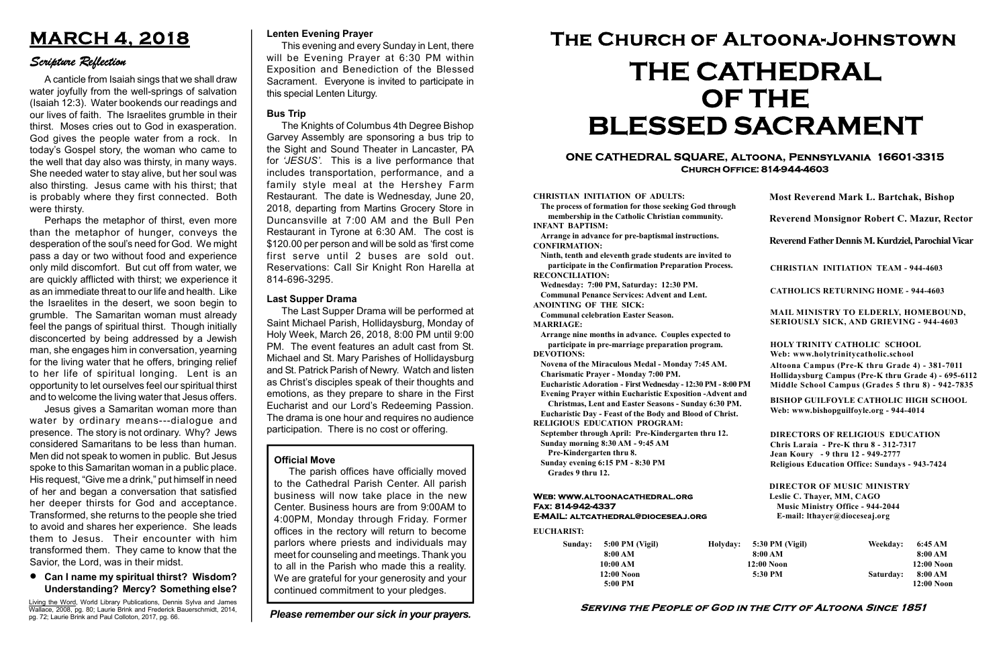#### Serving the People of God in the City of Altoona Since 1851

Sunday: 5:00 PM (Vigil) 8:00 AM 10:00 AM 12:00 Noon 5:00 PM

Holyday:

#### Web: www.altoonacathedral.org Fax: 814-942-4337 E-MAIL: altcathedral@dioceseaj.org

EUCHARIST:

#### CHRISTIAN INITIATION OF ADULTS:

The process of formation for those seeking God through membership in the Catholic Christian community. INFANT BAPTISM:

Arrange in advance for pre-baptismal instructions. CONFIRMATION:

Ninth, tenth and eleventh grade students are invited to participate in the Confirmation Preparation Process. RECONCILIATION:

Wednesday: 7:00 PM, Saturday: 12:30 PM. Communal Penance Services: Advent and Lent.

ANOINTING OF THE SICK:

Communal celebration Easter Season. MARRIAGE:

Arrange nine months in advance. Couples expected to participate in pre-marriage preparation program. DEVOTIONS:

Novena of the Miraculous Medal - Monday 7:45 AM.

Charismatic Prayer - Monday 7:00 PM. Eucharistic Adoration - First Wednesday - 12:30 PM - 8:00 PM

Evening Prayer within Eucharistic Exposition -Advent and

Christmas, Lent and Easter Seasons - Sunday 6:30 PM.

|                       | <b>Most Reverend Mark L. Bartchak, Bishop</b><br>Reverend Monsignor Robert C. Mazur, Rector                                                                                     |           |                         |
|-----------------------|---------------------------------------------------------------------------------------------------------------------------------------------------------------------------------|-----------|-------------------------|
|                       |                                                                                                                                                                                 |           |                         |
|                       | Reverend Father Dennis M. Kurdziel, Parochial Vicar                                                                                                                             |           |                         |
|                       | <b>CHRISTIAN INITIATION TEAM - 944-4603</b>                                                                                                                                     |           |                         |
|                       | <b>CATHOLICS RETURNING HOME - 944-4603</b>                                                                                                                                      |           |                         |
|                       | MAIL MINISTRY TO ELDERLY, HOMEBOUND,<br>SERIOUSLY SICK, AND GRIEVING - 944-4603                                                                                                 |           |                         |
|                       | <b>HOLY TRINITY CATHOLIC SCHOOL</b><br>Web: www.holytrinitycatholic.school                                                                                                      |           |                         |
| М                     | Altoona Campus (Pre-K thru Grade 4) - 381-7011<br>Hollidaysburg Campus (Pre-K thru Grade 4) - 695-6112<br>Middle School Campus (Grades 5 thru 8) - 942-7835                     |           |                         |
| ł                     | <b>BISHOP GUILFOYLE CATHOLIC HIGH SCHOOL</b><br>Web: www.bishopguilfoyle.org - 944-4014                                                                                         |           |                         |
|                       | <b>DIRECTORS OF RELIGIOUS EDUCATION</b><br>Chris Laraia - Pre-K thru 8 - 312-7317<br>Jean Koury - 9 thru 12 - 949-2777<br><b>Religious Education Office: Sundays - 943-7424</b> |           |                         |
|                       | <b>DIRECTOR OF MUSIC MINISTRY</b><br>Leslie C. Thayer, MM, CAGO<br><b>Music Ministry Office - 944-2044</b><br>E-mail: lthayer@dioceseaj.org                                     |           |                         |
| 5:30 PM (Vigil)       |                                                                                                                                                                                 | Weekday:  | 6:45 AM                 |
| 8:00 AM<br>12:00 Noon |                                                                                                                                                                                 |           | 8:00 AM<br>12:00 Noon   |
| 5:30 PM               |                                                                                                                                                                                 | Saturday: | 8:00 AM<br>$12:00$ Noon |
|                       |                                                                                                                                                                                 |           |                         |

Eucharistic Day - Feast of the Body and Blood of Christ. RELIGIOUS EDUCATION PROGRAM:

September through April: Pre-Kindergarten thru 12. Sunday morning 8:30 AM - 9:45 AM

Pre-Kindergarten thru 8.

Sunday evening 6:15 PM - 8:30 PM Grades 9 thru 12.

#### ONE CATHEDRAL SQUARE, Altoona, Pennsylvania 16601-3315 Church Office: 814-944-4603

# The Church of Altoona-Johnstown THE CATHEDRAL OF THE BLESSED SACRAMENT

#### Official Move

The parish offices have officially moved to the Cathedral Parish Center. All parish business will now take place in the new Center. Business hours are from 9:00AM to 4:00PM, Monday through Friday. Former offices in the rectory will return to become parlors where priests and individuals may meet for counseling and meetings. Thank you to all in the Parish who made this a reality. We are grateful for your generosity and your continued commitment to your pledges.

#### Lenten Evening Prayer

Living the Word, World Library Publications, Dennis Sylva and James Wallace, 2008, pg. 80; Laurie Brink and Frederick Bauerschmidt, 2014, pg. 72; Laurie Brink and Paul Colloton, 2017, pg. 66.

This evening and every Sunday in Lent, there will be Evening Prayer at 6:30 PM within Exposition and Benediction of the Blessed Sacrament. Everyone is invited to participate in this special Lenten Liturgy.

#### Bus Trip

The Knights of Columbus 4th Degree Bishop Garvey Assembly are sponsoring a bus trip to the Sight and Sound Theater in Lancaster, PA for 'JESUS'. This is a live performance that includes transportation, performance, and a family style meal at the Hershey Farm Restaurant. The date is Wednesday, June 20, 2018, departing from Martins Grocery Store in Duncansville at 7:00 AM and the Bull Pen Restaurant in Tyrone at 6:30 AM. The cost is \$120.00 per person and will be sold as 'first come first serve until 2 buses are sold out. Reservations: Call Sir Knight Ron Harella at 814-696-3295.

## MARCH 4, 2018

#### Scripture Reflection

Can I name my spiritual thirst? Wisdom? Understanding? Mercy? Something else?

A canticle from Isaiah sings that we shall draw water joyfully from the well-springs of salvation (Isaiah 12:3). Water bookends our readings and our lives of faith. The Israelites grumble in their thirst. Moses cries out to God in exasperation. God gives the people water from a rock. In today's Gospel story, the woman who came to the well that day also was thirsty, in many ways. She needed water to stay alive, but her soul was also thirsting. Jesus came with his thirst; that is probably where they first connected. Both were thirsty.

Perhaps the metaphor of thirst, even more than the metaphor of hunger, conveys the desperation of the soul's need for God. We might pass a day or two without food and experience only mild discomfort. But cut off from water, we are quickly afflicted with thirst; we experience it as an immediate threat to our life and health. Like the Israelites in the desert, we soon begin to grumble. The Samaritan woman must already feel the pangs of spiritual thirst. Though initially disconcerted by being addressed by a Jewish man, she engages him in conversation, yearning for the living water that he offers, bringing relief to her life of spiritual longing. Lent is an opportunity to let ourselves feel our spiritual thirst and to welcome the living water that Jesus offers.

Jesus gives a Samaritan woman more than water by ordinary means---dialogue and presence. The story is not ordinary. Why? Jews considered Samaritans to be less than human. Men did not speak to women in public. But Jesus spoke to this Samaritan woman in a public place. His request, "Give me a drink," put himself in need of her and began a conversation that satisfied her deeper thirsts for God and acceptance. Transformed, she returns to the people she tried to avoid and shares her experience. She leads them to Jesus. Their encounter with him transformed them. They came to know that the Savior, the Lord, was in their midst.

#### Last Supper Drama

The Last Supper Drama will be performed at Saint Michael Parish, Hollidaysburg, Monday of Holy Week, March 26, 2018, 8:00 PM until 9:00 PM. The event features an adult cast from St. Michael and St. Mary Parishes of Hollidaysburg and St. Patrick Parish of Newry. Watch and listen as Christ's disciples speak of their thoughts and emotions, as they prepare to share in the First Eucharist and our Lord's Redeeming Passion. The drama is one hour and requires no audience participation. There is no cost or offering.

Please remember our sick in your prayers.